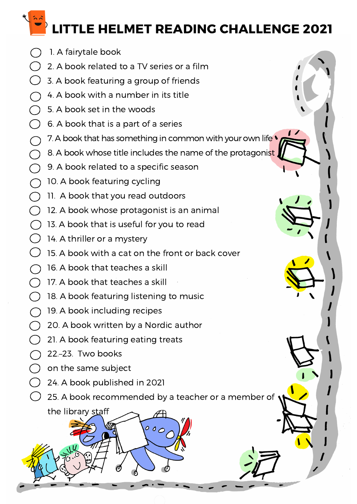LITTLE HELMET READING CHALLENGE 2021

- 1. A fairytale book
- $\bigcap$ 2. A book related to a TV series or a film
- $\bigcap$ 3. A book featuring a group of friends
- 4. A book with a number in its title n i
- $\bigcap$ 5. A book set in the woods
- $\bigcap$ 6. A book that is a part of a series
- 7. A book that has something in common with your own life  $\bigcap$
- 8. A book whose title includes the name of the protagonist  $\bigcirc$
- $\bigcirc$ 9. A book related to a specific season
- $\bigcirc$ 10. A book featuring cycling
- ิ 11. A book that you read outdoors
- $\bigcap$ 12. A book whose protagonist is an animal
- $\overline{(\phantom{a})}$ 13. A book that is useful for you to read
- 14. A thriller or a mystery
- $\left(\begin{array}{c} \end{array}\right)$ 15. A book with a cat on the front or back cover
- 16. A book that teaches a skill  $\bigcap$
- $\bigcap$  17. A book that teaches a skill
- $\bigcap$ 18. A book featuring listening to music
- $\bigcap$ 19. A book including recipes
- $\bigcap$ 20. A book written by a Nordic author
- $\bigcap$ 21. A book featuring eating treats
- $\bigcap$  22.–23. Two books
- $\bigcirc$  on the same subject

the library staff

- $\begin{pmatrix} 1 \\ 2 \end{pmatrix}$ 24. A book published in 2021
	- 25. A book recommended by a teacher or a member of

 $000$